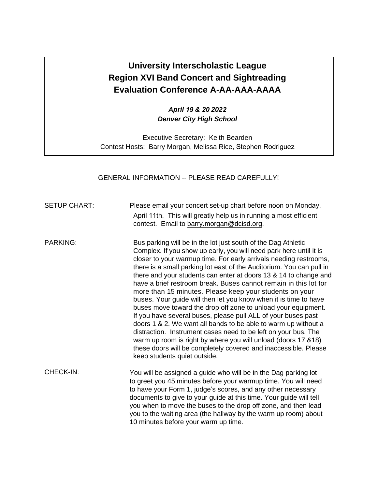## **University Interscholastic League Region XVI Band Concert and Sightreading Evaluation Conference A-AA-AAA-AAAA**

*April 19 & 20 2022 Denver City High School* 

Executive Secretary: Keith Bearden Contest Hosts: Barry Morgan, Melissa Rice, Stephen Rodriguez

## GENERAL INFORMATION -- PLEASE READ CAREFULLY!

SETUP CHART: Please email your concert set-up chart before noon on Monday, April 11th. This will greatly help us in running a most efficient contest. Email to barry.morgan@dcisd.org.

PARKING: Bus parking will be in the lot just south of the Dag Athletic Complex. If you show up early, you will need park here until it is closer to your warmup time. For early arrivals needing restrooms, there is a small parking lot east of the Auditorium. You can pull in there and your students can enter at doors 13 & 14 to change and have a brief restroom break. Buses cannot remain in this lot for more than 15 minutes. Please keep your students on your buses. Your guide will then let you know when it is time to have buses move toward the drop off zone to unload your equipment. If you have several buses, please pull ALL of your buses past doors 1 & 2. We want all bands to be able to warm up without a distraction. Instrument cases need to be left on your bus. The warm up room is right by where you will unload (doors 17 &18) these doors will be completely covered and inaccessible. Please keep students quiet outside.

CHECK-IN: You will be assigned a guide who will be in the Dag parking lot to greet you 45 minutes before your warmup time. You will need to have your Form 1, judge's scores, and any other necessary documents to give to your guide at this time. Your guide will tell you when to move the buses to the drop off zone, and then lead you to the waiting area (the hallway by the warm up room) about 10 minutes before your warm up time.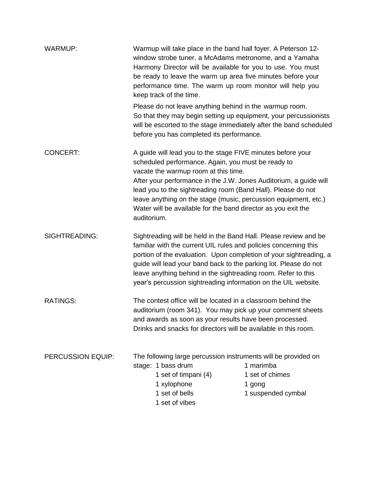| <b>WARMUP:</b>    | Warmup will take place in the band hall foyer. A Peterson 12-<br>window strobe tuner, a McAdams metronome, and a Yamaha<br>Harmony Director will be available for you to use. You must<br>be ready to leave the warm up area five minutes before your<br>performance time. The warm up room monitor will help you<br>keep track of the time.                                                                                                      |                                                              |
|-------------------|---------------------------------------------------------------------------------------------------------------------------------------------------------------------------------------------------------------------------------------------------------------------------------------------------------------------------------------------------------------------------------------------------------------------------------------------------|--------------------------------------------------------------|
|                   | Please do not leave anything behind in the warmup room.<br>So that they may begin setting up equipment, your percussionists<br>will be escorted to the stage immediately after the band scheduled<br>before you has completed its performance.                                                                                                                                                                                                    |                                                              |
| <b>CONCERT:</b>   | A guide will lead you to the stage FIVE minutes before your<br>scheduled performance. Again, you must be ready to<br>vacate the warmup room at this time.<br>After your performance in the J.W. Jones Auditorium, a guide will<br>lead you to the sightreading room (Band Hall). Please do not<br>leave anything on the stage (music, percussion equipment, etc.)<br>Water will be available for the band director as you exit the<br>auditorium. |                                                              |
| SIGHTREADING:     | Sightreading will be held in the Band Hall. Please review and be<br>familiar with the current UIL rules and policies concerning this<br>portion of the evaluation. Upon completion of your sightreading, a<br>guide will lead your band back to the parking lot. Please do not<br>leave anything behind in the sightreading room. Refer to this<br>year's percussion sightreading information on the UIL website.                                 |                                                              |
| <b>RATINGS:</b>   | The contest office will be located in a classroom behind the<br>auditorium (room 341). You may pick up your comment sheets<br>and awards as soon as your results have been processed.<br>Drinks and snacks for directors will be available in this room.                                                                                                                                                                                          |                                                              |
| PERCUSSION EQUIP: | The following large percussion instruments will be provided on<br>stage: 1 bass drum<br>1 set of timpani (4)<br>1 xylophone<br>1 set of bells<br>1 set of vibes                                                                                                                                                                                                                                                                                   | 1 marimba<br>1 set of chimes<br>1 gong<br>1 suspended cymbal |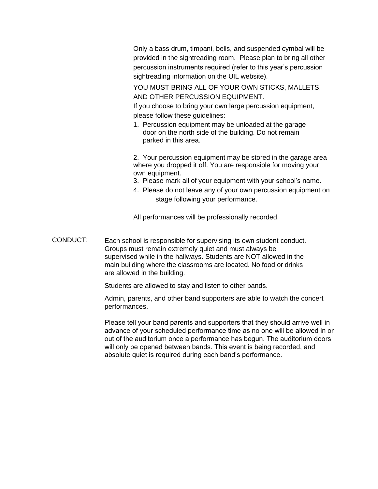Only a bass drum, timpani, bells, and suspended cymbal will be provided in the sightreading room. Please plan to bring all other percussion instruments required (refer to this year's percussion sightreading information on the UIL website).

YOU MUST BRING ALL OF YOUR OWN STICKS, MALLETS, AND OTHER PERCUSSION EQUIPMENT.

If you choose to bring your own large percussion equipment, please follow these guidelines:

1. Percussion equipment may be unloaded at the garage door on the north side of the building. Do not remain parked in this area.

2. Your percussion equipment may be stored in the garage area where you dropped it off. You are responsible for moving your own equipment.

- 3. Please mark all of your equipment with your school's name.
- 4. Please do not leave any of your own percussion equipment on stage following your performance.

All performances will be professionally recorded.

CONDUCT: Each school is responsible for supervising its own student conduct. Groups must remain extremely quiet and must always be supervised while in the hallways. Students are NOT allowed in the main building where the classrooms are located. No food or drinks are allowed in the building.

Students are allowed to stay and listen to other bands.

Admin, parents, and other band supporters are able to watch the concert performances.

Please tell your band parents and supporters that they should arrive well in advance of your scheduled performance time as no one will be allowed in or out of the auditorium once a performance has begun. The auditorium doors will only be opened between bands. This event is being recorded, and absolute quiet is required during each band's performance.